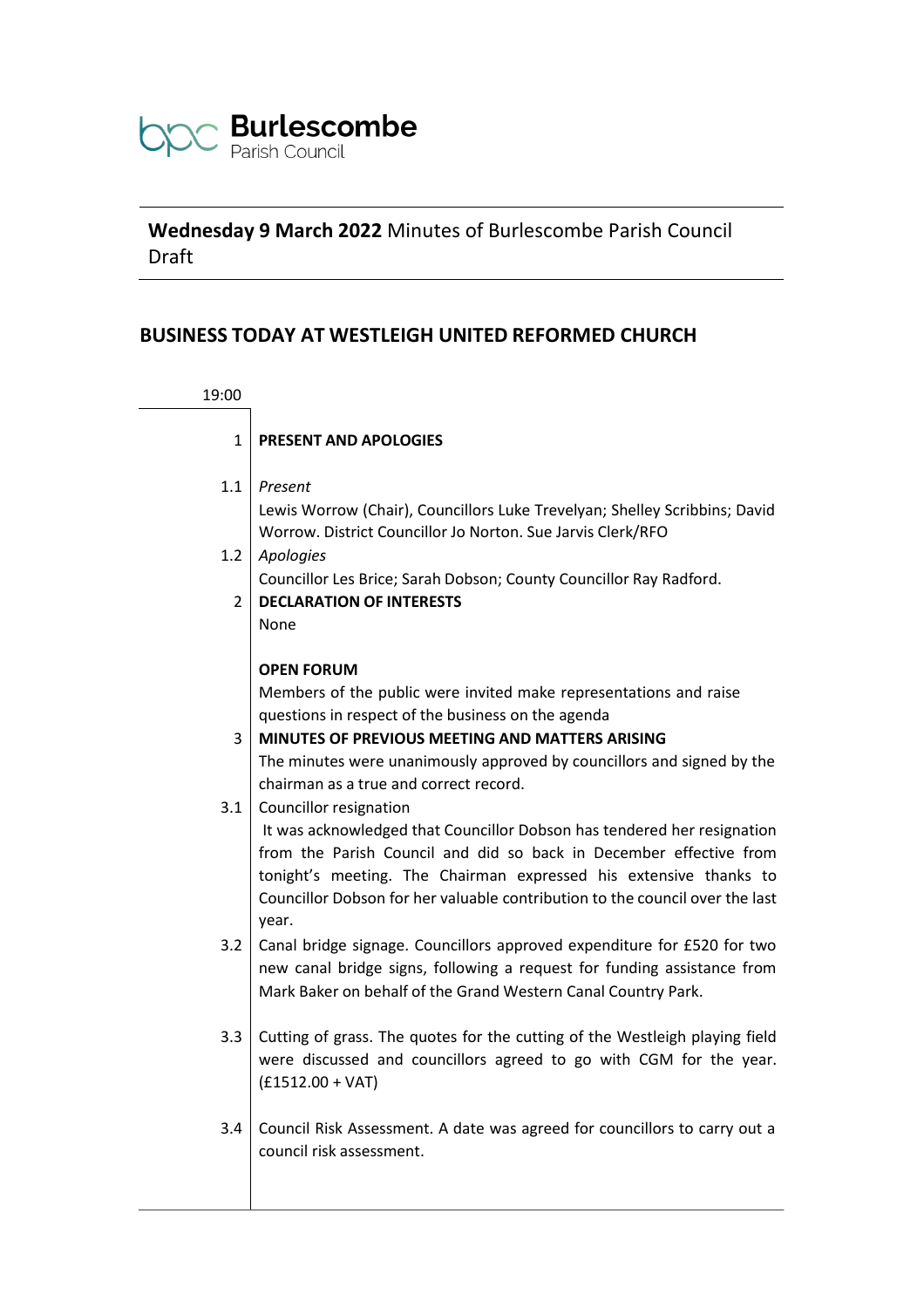

# **Wednesday 9 March 2022** Minutes of Burlescombe Parish Council Draft

# **BUSINESS TODAY AT WESTLEIGH UNITED REFORMED CHURCH**

| 19:00         |                                                                                                                                                                                                                                                                                                                                                                        |
|---------------|------------------------------------------------------------------------------------------------------------------------------------------------------------------------------------------------------------------------------------------------------------------------------------------------------------------------------------------------------------------------|
| $\mathbf{1}$  | <b>PRESENT AND APOLOGIES</b>                                                                                                                                                                                                                                                                                                                                           |
| 1.1           | Present<br>Lewis Worrow (Chair), Councillors Luke Trevelyan; Shelley Scribbins; David<br>Worrow. District Councillor Jo Norton. Sue Jarvis Clerk/RFO                                                                                                                                                                                                                   |
| 1.2           | Apologies                                                                                                                                                                                                                                                                                                                                                              |
| $\mathcal{P}$ | Councillor Les Brice; Sarah Dobson; County Councillor Ray Radford.<br><b>DECLARATION OF INTERESTS</b><br>None                                                                                                                                                                                                                                                          |
| 3             | <b>OPEN FORUM</b><br>Members of the public were invited make representations and raise<br>questions in respect of the business on the agenda<br>MINUTES OF PREVIOUS MEETING AND MATTERS ARISING<br>The minutes were unanimously approved by councillors and signed by the                                                                                              |
| 3.1           | chairman as a true and correct record.<br>Councillor resignation<br>It was acknowledged that Councillor Dobson has tendered her resignation<br>from the Parish Council and did so back in December effective from<br>tonight's meeting. The Chairman expressed his extensive thanks to<br>Councillor Dobson for her valuable contribution to the council over the last |
| 3.2           | year.<br>Canal bridge signage. Councillors approved expenditure for £520 for two<br>new canal bridge signs, following a request for funding assistance from<br>Mark Baker on behalf of the Grand Western Canal Country Park.                                                                                                                                           |
| 3.3           | Cutting of grass. The quotes for the cutting of the Westleigh playing field<br>were discussed and councillors agreed to go with CGM for the year.<br>$(f1512.00 + VAT)$                                                                                                                                                                                                |
| 3.4           | Council Risk Assessment. A date was agreed for councillors to carry out a<br>council risk assessment.                                                                                                                                                                                                                                                                  |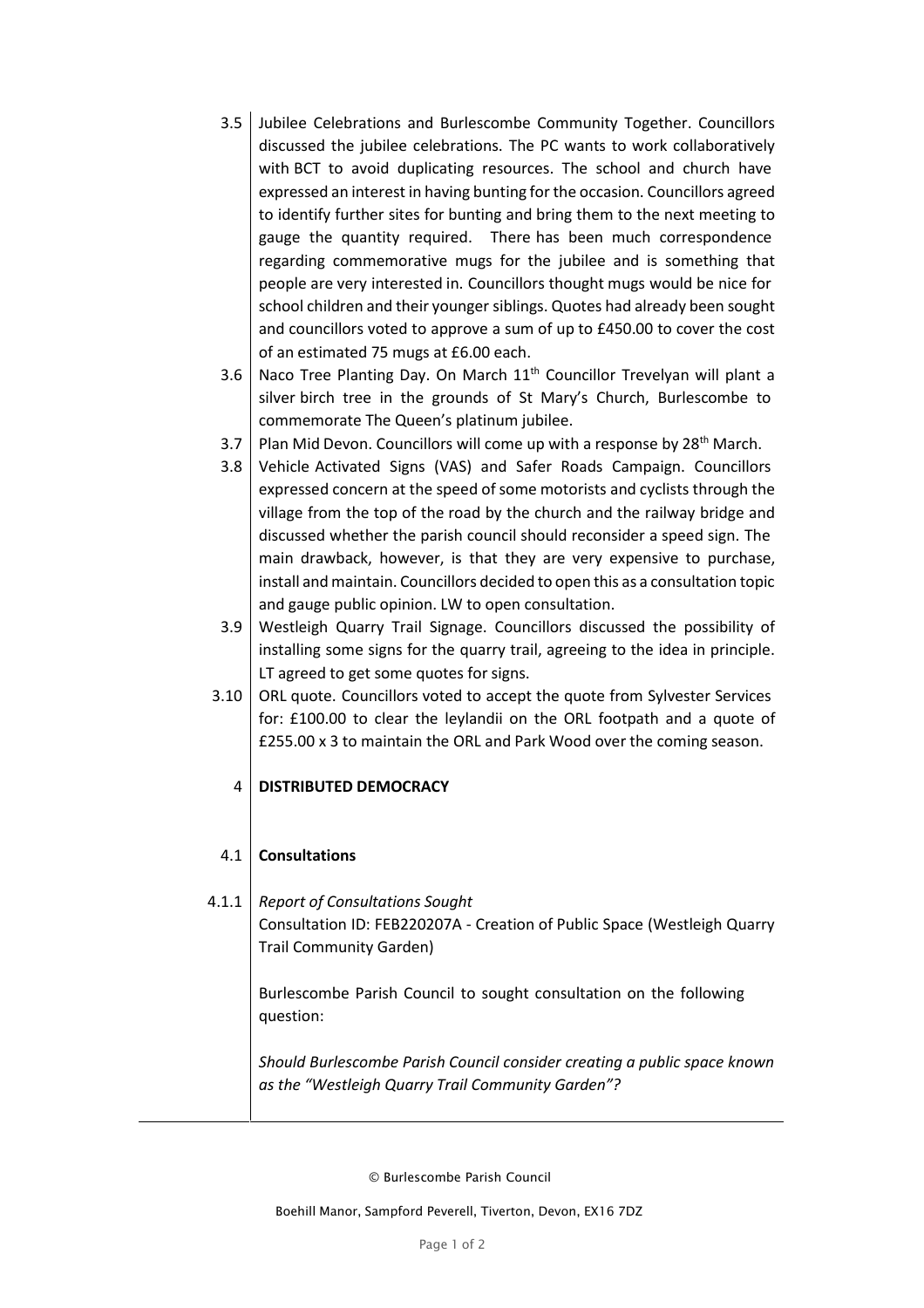- 3.5 Jubilee Celebrations and Burlescombe Community Together. Councillors discussed the jubilee celebrations. The PC wants to work collaboratively with BCT to avoid duplicating resources. The school and church have expressed an interest in having bunting for the occasion. Councillors agreed to identify further sites for bunting and bring them to the next meeting to gauge the quantity required. There has been much correspondence regarding commemorative mugs for the jubilee and is something that people are very interested in. Councillors thought mugs would be nice for school children and their younger siblings. Quotes had already been sought and councillors voted to approve a sum of up to £450.00 to cover the cost of an estimated 75 mugs at £6.00 each.
- 3.6 Naco Tree Planting Day. On March  $11<sup>th</sup>$  Councillor Trevelyan will plant a silver birch tree in the grounds of St Mary's Church, Burlescombe to commemorate The Queen's platinum jubilee.
- 3.7 Plan Mid Devon. Councillors will come up with a response by 28<sup>th</sup> March.
- 3.8 Vehicle Activated Signs (VAS) and Safer Roads Campaign. Councillors expressed concern at the speed of some motorists and cyclists through the village from the top of the road by the church and the railway bridge and discussed whether the parish council should reconsider a speed sign. The main drawback, however, is that they are very expensive to purchase, install and maintain. Councillors decided to open this as a consultation topic and gauge public opinion. LW to open consultation.
- 3.9 Westleigh Quarry Trail Signage. Councillors discussed the possibility of installing some signs for the quarry trail, agreeing to the idea in principle. LT agreed to get some quotes for signs.
- 3.10 ORL quote. Councillors voted to accept the quote from Sylvester Services for: £100.00 to clear the leylandii on the ORL footpath and a quote of £255.00 x 3 to maintain the ORL and Park Wood over the coming season.

### 4 **DISTRIBUTED DEMOCRACY**

#### 4.1 **Consultations**

# 4.1.1 *Report of Consultations Sought* Consultation ID: FEB220207A - Creation of Public Space (Westleigh Quarry Trail Community Garden)

Burlescombe Parish Council to sought consultation on the following question:

*Should Burlescombe Parish Council consider creating a public space known as the "Westleigh Quarry Trail Community Garden"?*

© Burlescombe Parish Council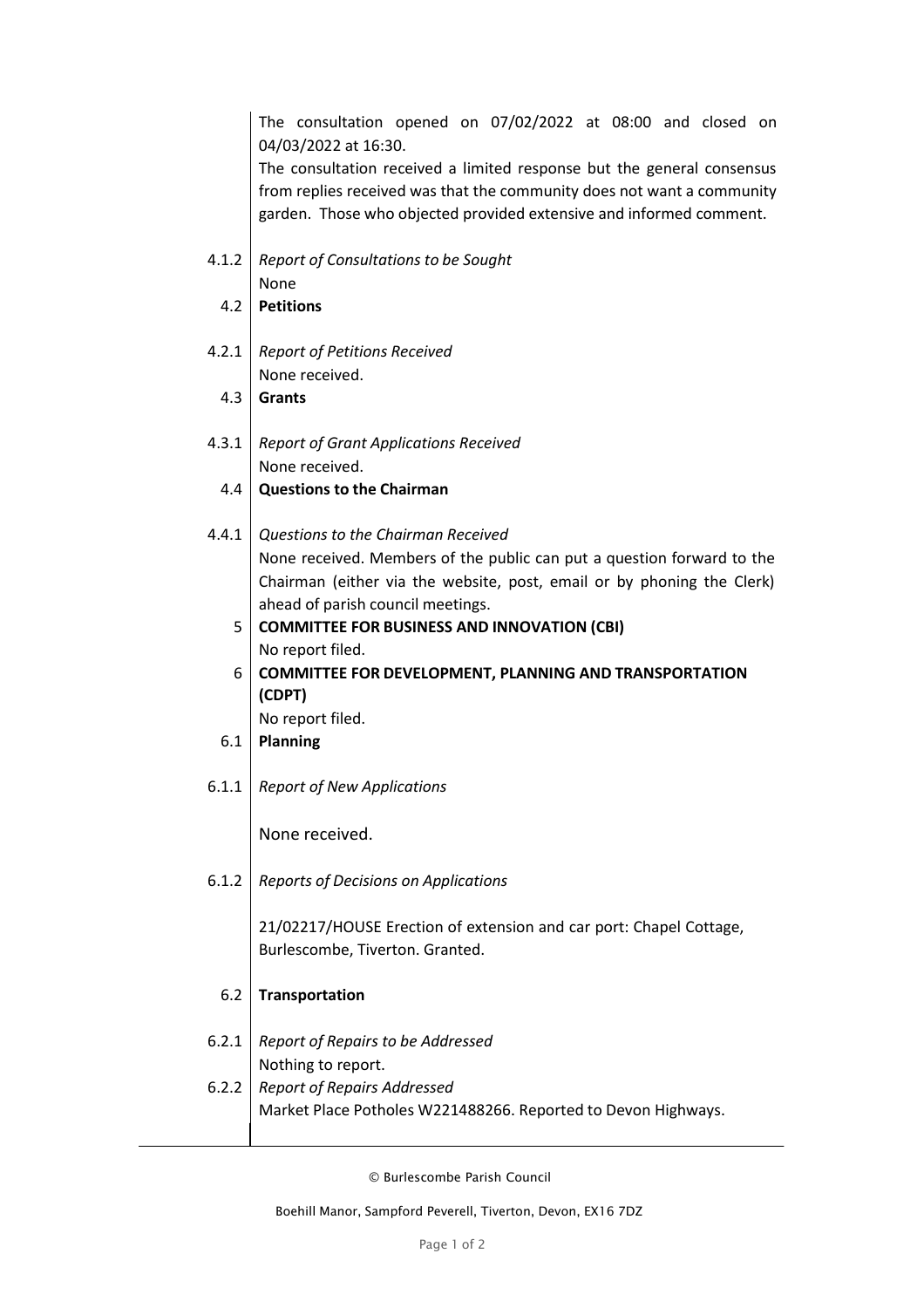The consultation opened on 07/02/2022 at 08:00 and closed on 04/03/2022 at 16:30.

The consultation received a limited response but the general consensus from replies received was that the community does not want a community garden. Those who objected provided extensive and informed comment.

- 4.1.2 *Report of Consultations to be Sought* None
	- 4.2 **Petitions**
- 4.2.1 *Report of Petitions Received* None received.
	- 4.3 **Grants**
- 4.3.1 *Report of Grant Applications Received* None received.
	- 4.4 **Questions to the Chairman**
- 4.4.1 *Questions to the Chairman Received* None received. Members of the public can put a question forward to the Chairman (either via the website, post, email or by phoning the Clerk) ahead of parish council meetings.
	- 5 **COMMITTEE FOR BUSINESS AND INNOVATION (CBI)** No report filed.
	- 6 **COMMITTEE FOR DEVELOPMENT, PLANNING AND TRANSPORTATION (CDPT)**

No report filed.

- 6.1 **Planning**
- 6.1.1 *Report of New Applications*

None received.

6.1.2 *Reports of Decisions on Applications*

21/02217/HOUSE Erection of extension and car port: Chapel Cottage, Burlescombe, Tiverton. Granted.

- 6.2 **Transportation**
- 6.2.1 *Report of Repairs to be Addressed* Nothing to report. 6.2.2 *Report of Repairs Addressed* Market Place Potholes W221488266. Reported to Devon Highways.

© Burlescombe Parish Council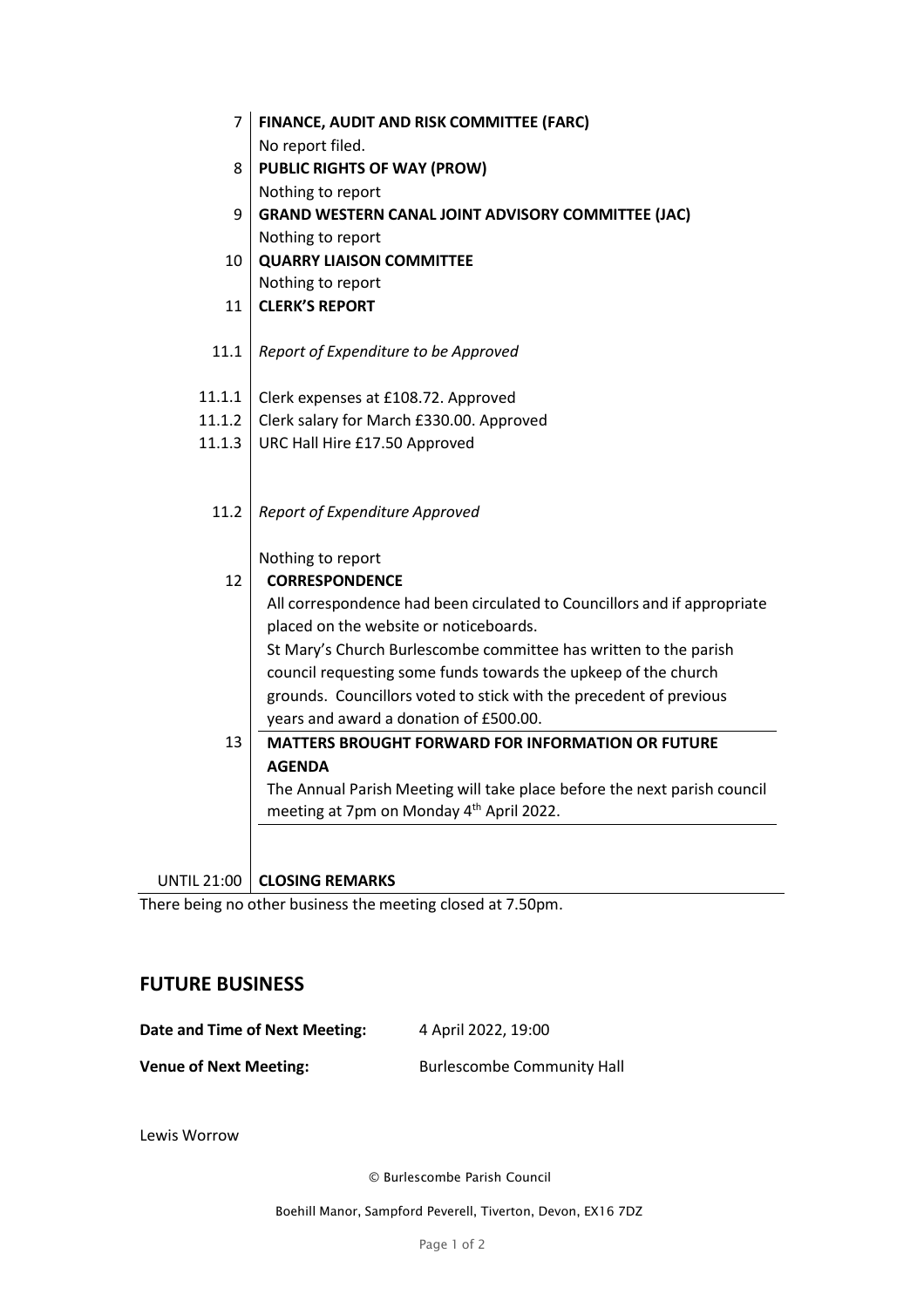| $\overline{7}$     | FINANCE, AUDIT AND RISK COMMITTEE (FARC)                                                                             |  |
|--------------------|----------------------------------------------------------------------------------------------------------------------|--|
|                    | No report filed.                                                                                                     |  |
| 8                  | <b>PUBLIC RIGHTS OF WAY (PROW)</b>                                                                                   |  |
|                    | Nothing to report                                                                                                    |  |
| 9                  | <b>GRAND WESTERN CANAL JOINT ADVISORY COMMITTEE (JAC)</b>                                                            |  |
|                    | Nothing to report                                                                                                    |  |
| 10                 | <b>QUARRY LIAISON COMMITTEE</b>                                                                                      |  |
|                    | Nothing to report                                                                                                    |  |
| 11                 | <b>CLERK'S REPORT</b>                                                                                                |  |
|                    |                                                                                                                      |  |
| 11.1               | Report of Expenditure to be Approved                                                                                 |  |
|                    |                                                                                                                      |  |
| 11.1.1             | Clerk expenses at £108.72. Approved                                                                                  |  |
| 11.1.2             | Clerk salary for March £330.00. Approved                                                                             |  |
| 11.1.3             | URC Hall Hire £17.50 Approved                                                                                        |  |
|                    |                                                                                                                      |  |
|                    |                                                                                                                      |  |
| 11.2               | Report of Expenditure Approved                                                                                       |  |
|                    |                                                                                                                      |  |
| 12                 | Nothing to report<br><b>CORRESPONDENCE</b>                                                                           |  |
|                    |                                                                                                                      |  |
|                    | All correspondence had been circulated to Councillors and if appropriate                                             |  |
|                    | placed on the website or noticeboards.                                                                               |  |
|                    | St Mary's Church Burlescombe committee has written to the parish                                                     |  |
|                    | council requesting some funds towards the upkeep of the church                                                       |  |
|                    | grounds. Councillors voted to stick with the precedent of previous                                                   |  |
| 13                 | years and award a donation of £500.00.                                                                               |  |
|                    | <b>MATTERS BROUGHT FORWARD FOR INFORMATION OR FUTURE</b>                                                             |  |
|                    | <b>AGENDA</b>                                                                                                        |  |
|                    | The Annual Parish Meeting will take place before the next parish council<br>meeting at 7pm on Monday 4th April 2022. |  |
|                    |                                                                                                                      |  |
|                    |                                                                                                                      |  |
| <b>UNTIL 21:00</b> | <b>CLOSING REMARKS</b>                                                                                               |  |

There being no other business the meeting closed at 7.50pm.

## **FUTURE BUSINESS**

| Date and Time of Next Meeting: | 4 April 2022, 19:00               |
|--------------------------------|-----------------------------------|
| <b>Venue of Next Meeting:</b>  | <b>Burlescombe Community Hall</b> |

Lewis Worrow

© Burlescombe Parish Council

Boehill Manor, Sampford Peverell, Tiverton, Devon, EX16 7DZ